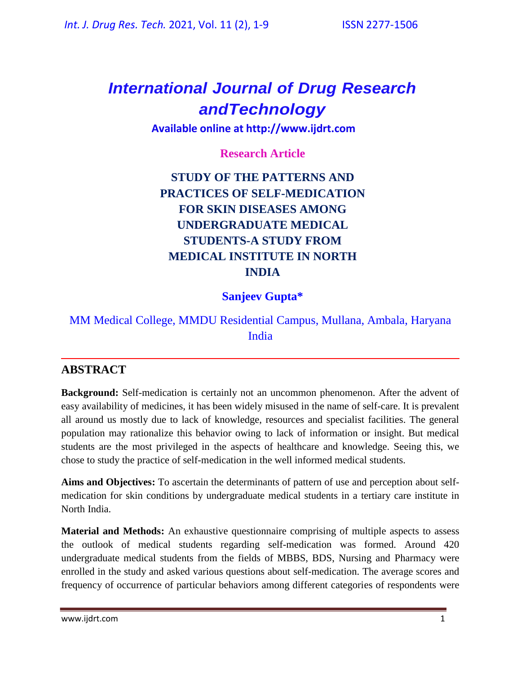# *International Journal of Drug Research andTechnology*

**Available online at [http://www.ijdrt.com](http://www.ijdrt.com/)**

**Research Article**

## **STUDY OF THE PATTERNS AND PRACTICES OF SELF-MEDICATION FOR SKIN DISEASES AMONG UNDERGRADUATE MEDICAL STUDENTS-A STUDY FROM MEDICAL INSTITUTE IN NORTH INDIA**

## **Sanjeev Gupta\***

## MM Medical College, MMDU Residential Campus, Mullana, Ambala, Haryana India

## **ABSTRACT**

**Background:** Self-medication is certainly not an uncommon phenomenon. After the advent of easy availability of medicines, it has been widely misused in the name of self-care. It is prevalent all around us mostly due to lack of knowledge, resources and specialist facilities. The general population may rationalize this behavior owing to lack of information or insight. But medical students are the most privileged in the aspects of healthcare and knowledge. Seeing this, we chose to study the practice of self-medication in the well informed medical students.

**Aims and Objectives:** To ascertain the determinants of pattern of use and perception about selfmedication for skin conditions by undergraduate medical students in a tertiary care institute in North India.

**Material and Methods:** An exhaustive questionnaire comprising of multiple aspects to assess the outlook of medical students regarding self-medication was formed. Around 420 undergraduate medical students from the fields of MBBS, BDS, Nursing and Pharmacy were enrolled in the study and asked various questions about self-medication. The average scores and frequency of occurrence of particular behaviors among different categories of respondents were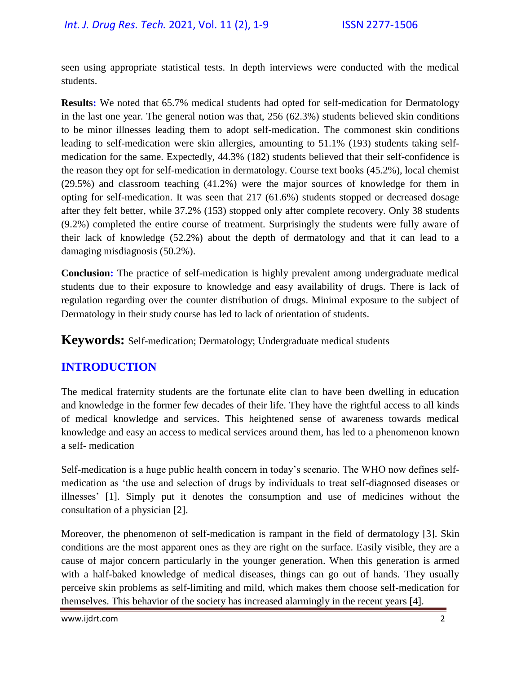seen using appropriate statistical tests. In depth interviews were conducted with the medical students.

**Results:** We noted that 65.7% medical students had opted for self-medication for Dermatology in the last one year. The general notion was that, 256 (62.3%) students believed skin conditions to be minor illnesses leading them to adopt self-medication. The commonest skin conditions leading to self-medication were skin allergies, amounting to 51.1% (193) students taking selfmedication for the same. Expectedly, 44.3% (182) students believed that their self-confidence is the reason they opt for self-medication in dermatology. Course text books (45.2%), local chemist (29.5%) and classroom teaching (41.2%) were the major sources of knowledge for them in opting for self-medication. It was seen that 217 (61.6%) students stopped or decreased dosage after they felt better, while 37.2% (153) stopped only after complete recovery. Only 38 students (9.2%) completed the entire course of treatment. Surprisingly the students were fully aware of their lack of knowledge (52.2%) about the depth of dermatology and that it can lead to a damaging misdiagnosis (50.2%).

**Conclusion:** The practice of self-medication is highly prevalent among undergraduate medical students due to their exposure to knowledge and easy availability of drugs. There is lack of regulation regarding over the counter distribution of drugs. Minimal exposure to the subject of Dermatology in their study course has led to lack of orientation of students.

**Keywords:** Self-medication; Dermatology; Undergraduate medical students

## **INTRODUCTION**

The medical fraternity students are the fortunate elite clan to have been dwelling in education and knowledge in the former few decades of their life. They have the rightful access to all kinds of medical knowledge and services. This heightened sense of awareness towards medical knowledge and easy an access to medical services around them, has led to a phenomenon known a self- medication

Self-medication is a huge public health concern in today's scenario. The WHO now defines selfmedication as 'the use and selection of drugs by individuals to treat self-diagnosed diseases or illnesses' [1]. Simply put it denotes the consumption and use of medicines without the consultation of a physician [2].

Moreover, the phenomenon of self-medication is rampant in the field of dermatology [3]. Skin conditions are the most apparent ones as they are right on the surface. Easily visible, they are a cause of major concern particularly in the younger generation. When this generation is armed with a half-baked knowledge of medical diseases, things can go out of hands. They usually perceive skin problems as self-limiting and mild, which makes them choose self-medication for themselves. This behavior of the society has increased alarmingly in the recent years [4].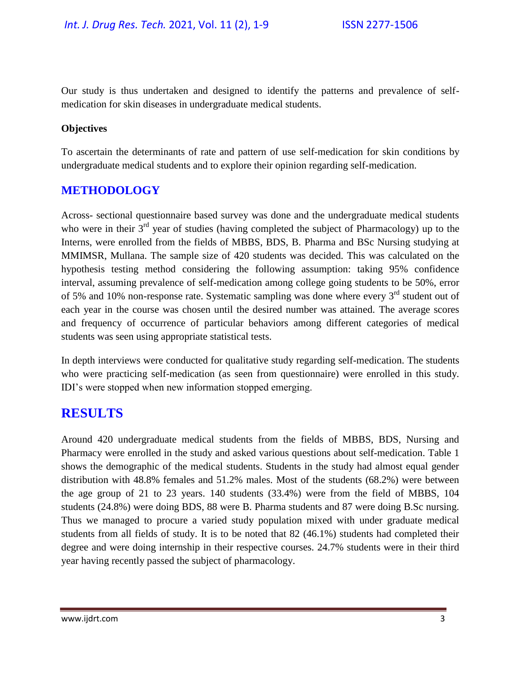Our study is thus undertaken and designed to identify the patterns and prevalence of selfmedication for skin diseases in undergraduate medical students.

### **Objectives**

To ascertain the determinants of rate and pattern of use self-medication for skin conditions by undergraduate medical students and to explore their opinion regarding self-medication.

### **METHODOLOGY**

Across- sectional questionnaire based survey was done and the undergraduate medical students who were in their  $3<sup>rd</sup>$  year of studies (having completed the subject of Pharmacology) up to the Interns, were enrolled from the fields of MBBS, BDS, B. Pharma and BSc Nursing studying at MMIMSR, Mullana. The sample size of 420 students was decided. This was calculated on the hypothesis testing method considering the following assumption: taking 95% confidence interval, assuming prevalence of self-medication among college going students to be 50%, error of 5% and 10% non-response rate. Systematic sampling was done where every 3<sup>rd</sup> student out of each year in the course was chosen until the desired number was attained. The average scores and frequency of occurrence of particular behaviors among different categories of medical students was seen using appropriate statistical tests.

In depth interviews were conducted for qualitative study regarding self-medication. The students who were practicing self-medication (as seen from questionnaire) were enrolled in this study. IDI's were stopped when new information stopped emerging.

## **RESULTS**

Around 420 undergraduate medical students from the fields of MBBS, BDS, Nursing and Pharmacy were enrolled in the study and asked various questions about self-medication. Table 1 shows the demographic of the medical students. Students in the study had almost equal gender distribution with 48.8% females and 51.2% males. Most of the students (68.2%) were between the age group of 21 to 23 years. 140 students (33.4%) were from the field of MBBS, 104 students (24.8%) were doing BDS, 88 were B. Pharma students and 87 were doing B.Sc nursing. Thus we managed to procure a varied study population mixed with under graduate medical students from all fields of study. It is to be noted that 82 (46.1%) students had completed their degree and were doing internship in their respective courses. 24.7% students were in their third year having recently passed the subject of pharmacology.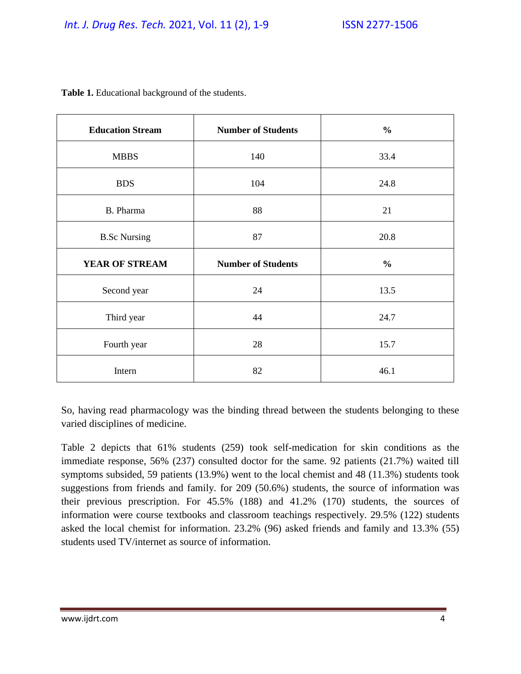| <b>Education Stream</b> | <b>Number of Students</b> | $\frac{0}{0}$ |
|-------------------------|---------------------------|---------------|
| <b>MBBS</b>             | 140                       | 33.4          |
| <b>BDS</b>              | 104                       | 24.8          |
| B. Pharma               | 88                        | 21            |
| <b>B.Sc Nursing</b>     | 87                        | 20.8          |
| YEAR OF STREAM          | <b>Number of Students</b> | $\frac{0}{0}$ |
| Second year             | 24                        | 13.5          |
| Third year              | 44                        | 24.7          |
| Fourth year             | 28                        | 15.7          |
| Intern                  | 82                        | 46.1          |

**Table 1.** Educational background of the students.

So, having read pharmacology was the binding thread between the students belonging to these varied disciplines of medicine.

Table 2 depicts that 61% students (259) took self-medication for skin conditions as the immediate response, 56% (237) consulted doctor for the same. 92 patients (21.7%) waited till symptoms subsided, 59 patients (13.9%) went to the local chemist and 48 (11.3%) students took suggestions from friends and family. for 209 (50.6%) students, the source of information was their previous prescription. For 45.5% (188) and 41.2% (170) students, the sources of information were course textbooks and classroom teachings respectively. 29.5% (122) students asked the local chemist for information. 23.2% (96) asked friends and family and 13.3% (55) students used TV/internet as source of information.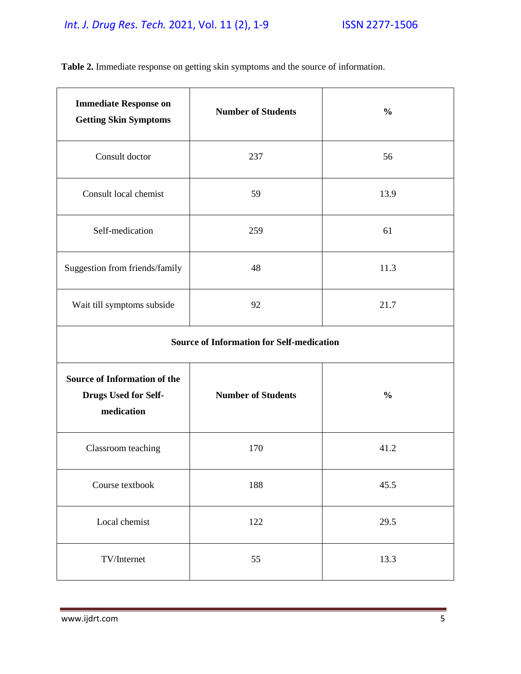# *Int. J. Drug Res. Tech.* 2021, Vol. 11 (2), 1-9 ISSN 2277-1506

| <b>Immediate Response on</b><br><b>Getting Skin Symptoms</b>              | <b>Number of Students</b> | $\frac{0}{0}$ |
|---------------------------------------------------------------------------|---------------------------|---------------|
| Consult doctor                                                            | 237                       | 56            |
| Consult local chemist                                                     | 59                        | 13.9          |
| Self-medication                                                           | 259                       | 61            |
| Suggestion from friends/family                                            | 48                        | 11.3          |
| Wait till symptoms subside                                                | 92                        | 21.7          |
| <b>Source of Information for Self-medication</b>                          |                           |               |
| <b>Source of Information of the</b><br>Drugs Used for Self-<br>medication | <b>Number of Students</b> | $\frac{0}{0}$ |
| Classroom teaching                                                        | 170                       | 41.2          |
| Course textbook                                                           | 188                       | 45.5          |
| Local chemist                                                             | 122                       | 29.5          |
| TV/Internet                                                               | 55                        | 13.3          |

**Table 2.** Immediate response on getting skin symptoms and the source of information.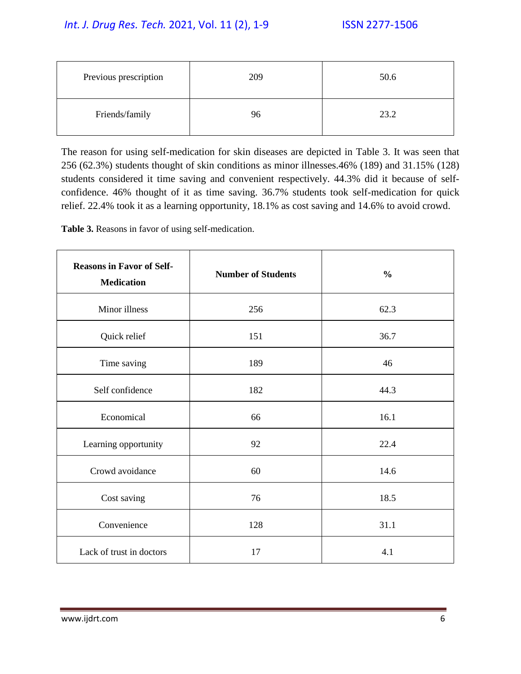| Previous prescription | 209 | 50.6 |
|-----------------------|-----|------|
| Friends/family        | 96  | 23.2 |

The reason for using self-medication for skin diseases are depicted in Table 3. It was seen that 256 (62.3%) students thought of skin conditions as minor illnesses.46% (189) and 31.15% (128) students considered it time saving and convenient respectively. 44.3% did it because of selfconfidence. 46% thought of it as time saving. 36.7% students took self-medication for quick relief. 22.4% took it as a learning opportunity, 18.1% as cost saving and 14.6% to avoid crowd.

**Table 3.** Reasons in favor of using self-medication.

| <b>Reasons in Favor of Self-</b><br><b>Medication</b> | <b>Number of Students</b> | $\frac{0}{0}$ |
|-------------------------------------------------------|---------------------------|---------------|
| Minor illness                                         | 256                       | 62.3          |
| Quick relief                                          | 151                       | 36.7          |
| Time saving                                           | 189                       | 46            |
| Self confidence                                       | 182                       | 44.3          |
| Economical                                            | 66                        | 16.1          |
| Learning opportunity                                  | 92                        | 22.4          |
| Crowd avoidance                                       | 60                        | 14.6          |
| Cost saving                                           | 76                        | 18.5          |
| Convenience                                           | 128                       | 31.1          |
| Lack of trust in doctors                              | 17                        | 4.1           |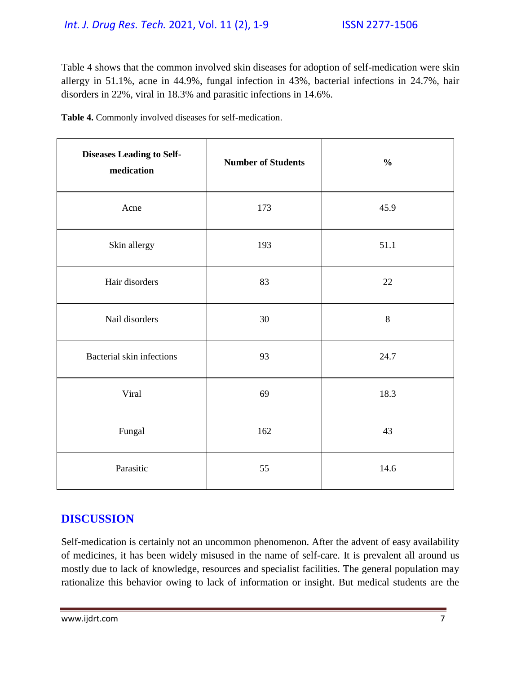### *Int. J. Drug Res. Tech.* 2021, Vol. 11 (2), 1-9 ISSN 2277-1506

Table 4 shows that the common involved skin diseases for adoption of self-medication were skin allergy in 51.1%, acne in 44.9%, fungal infection in 43%, bacterial infections in 24.7%, hair disorders in 22%, viral in 18.3% and parasitic infections in 14.6%.

| Table 4. Commonly involved diseases for self-medication. |  |
|----------------------------------------------------------|--|
|----------------------------------------------------------|--|

| <b>Diseases Leading to Self-</b><br>medication | <b>Number of Students</b> | $\frac{0}{0}$ |
|------------------------------------------------|---------------------------|---------------|
| Acne                                           | 173                       | 45.9          |
| Skin allergy                                   | 193                       | 51.1          |
| Hair disorders                                 | 83                        | $22\,$        |
| Nail disorders                                 | 30                        | $\,8\,$       |
| Bacterial skin infections                      | 93                        | 24.7          |
| Viral                                          | 69                        | 18.3          |
| Fungal                                         | 162                       | 43            |
| Parasitic                                      | 55                        | 14.6          |

## **DISCUSSION**

Self-medication is certainly not an uncommon phenomenon. After the advent of easy availability of medicines, it has been widely misused in the name of self-care. It is prevalent all around us mostly due to lack of knowledge, resources and specialist facilities. The general population may rationalize this behavior owing to lack of information or insight. But medical students are the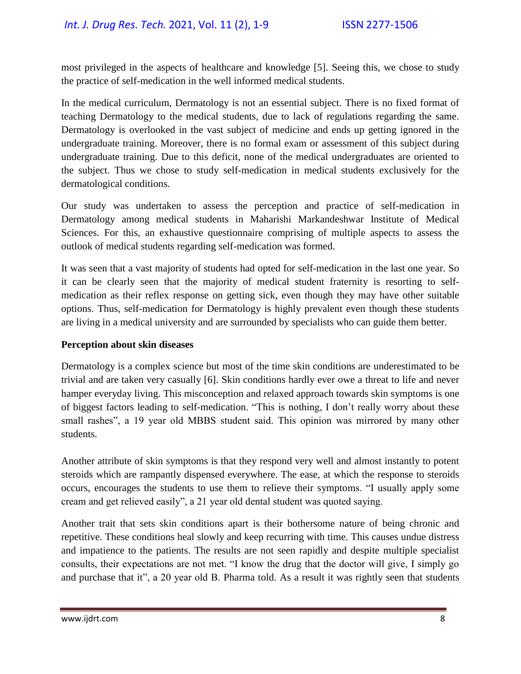most privileged in the aspects of healthcare and knowledge [5]. Seeing this, we chose to study the practice of self-medication in the well informed medical students.

In the medical curriculum, Dermatology is not an essential subject. There is no fixed format of teaching Dermatology to the medical students, due to lack of regulations regarding the same. Dermatology is overlooked in the vast subject of medicine and ends up getting ignored in the undergraduate training. Moreover, there is no formal exam or assessment of this subject during undergraduate training. Due to this deficit, none of the medical undergraduates are oriented to the subject. Thus we chose to study self-medication in medical students exclusively for the dermatological conditions.

Our study was undertaken to assess the perception and practice of self-medication in Dermatology among medical students in Maharishi Markandeshwar Institute of Medical Sciences. For this, an exhaustive questionnaire comprising of multiple aspects to assess the outlook of medical students regarding self-medication was formed.

It was seen that a vast majority of students had opted for self-medication in the last one year. So it can be clearly seen that the majority of medical student fraternity is resorting to selfmedication as their reflex response on getting sick, even though they may have other suitable options. Thus, self-medication for Dermatology is highly prevalent even though these students are living in a medical university and are surrounded by specialists who can guide them better.

#### **Perception about skin diseases**

Dermatology is a complex science but most of the time skin conditions are underestimated to be trivial and are taken very casually [6]. Skin conditions hardly ever owe a threat to life and never hamper everyday living. This misconception and relaxed approach towards skin symptoms is one of biggest factors leading to self-medication. "This is nothing, I don't really worry about these small rashes", a 19 year old MBBS student said. This opinion was mirrored by many other students.

Another attribute of skin symptoms is that they respond very well and almost instantly to potent steroids which are rampantly dispensed everywhere. The ease, at which the response to steroids occurs, encourages the students to use them to relieve their symptoms. "I usually apply some cream and get relieved easily", a 21 year old dental student was quoted saying.

Another trait that sets skin conditions apart is their bothersome nature of being chronic and repetitive. These conditions heal slowly and keep recurring with time. This causes undue distress and impatience to the patients. The results are not seen rapidly and despite multiple specialist consults, their expectations are not met. "I know the drug that the doctor will give, I simply go and purchase that it", a 20 year old B. Pharma told. As a result it was rightly seen that students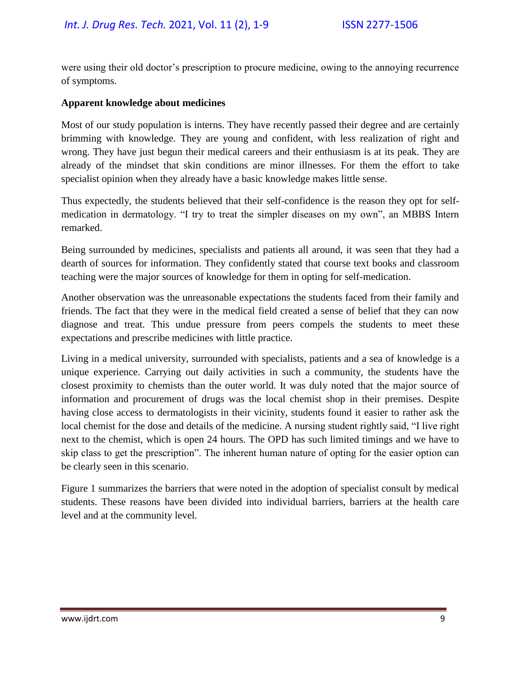were using their old doctor's prescription to procure medicine, owing to the annoying recurrence of symptoms.

#### **Apparent knowledge about medicines**

Most of our study population is interns. They have recently passed their degree and are certainly brimming with knowledge. They are young and confident, with less realization of right and wrong. They have just begun their medical careers and their enthusiasm is at its peak. They are already of the mindset that skin conditions are minor illnesses. For them the effort to take specialist opinion when they already have a basic knowledge makes little sense.

Thus expectedly, the students believed that their self-confidence is the reason they opt for selfmedication in dermatology. "I try to treat the simpler diseases on my own", an MBBS Intern remarked.

Being surrounded by medicines, specialists and patients all around, it was seen that they had a dearth of sources for information. They confidently stated that course text books and classroom teaching were the major sources of knowledge for them in opting for self-medication.

Another observation was the unreasonable expectations the students faced from their family and friends. The fact that they were in the medical field created a sense of belief that they can now diagnose and treat. This undue pressure from peers compels the students to meet these expectations and prescribe medicines with little practice.

Living in a medical university, surrounded with specialists, patients and a sea of knowledge is a unique experience. Carrying out daily activities in such a community, the students have the closest proximity to chemists than the outer world. It was duly noted that the major source of information and procurement of drugs was the local chemist shop in their premises. Despite having close access to dermatologists in their vicinity, students found it easier to rather ask the local chemist for the dose and details of the medicine. A nursing student rightly said, "I live right next to the chemist, which is open 24 hours. The OPD has such limited timings and we have to skip class to get the prescription". The inherent human nature of opting for the easier option can be clearly seen in this scenario.

Figure 1 summarizes the barriers that were noted in the adoption of specialist consult by medical students. These reasons have been divided into individual barriers, barriers at the health care level and at the community level.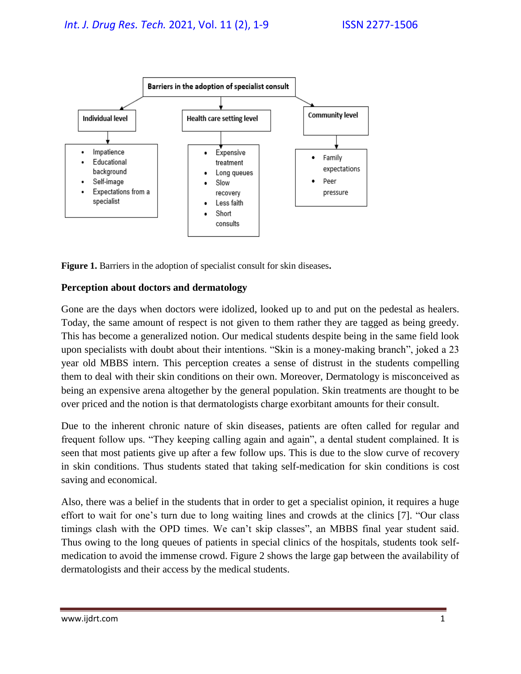

**Figure 1.** Barriers in the adoption of specialist consult for skin diseases**.**

### **Perception about doctors and dermatology**

Gone are the days when doctors were idolized, looked up to and put on the pedestal as healers. Today, the same amount of respect is not given to them rather they are tagged as being greedy. This has become a generalized notion. Our medical students despite being in the same field look upon specialists with doubt about their intentions. "Skin is a money-making branch", joked a 23 year old MBBS intern. This perception creates a sense of distrust in the students compelling them to deal with their skin conditions on their own. Moreover, Dermatology is misconceived as being an expensive arena altogether by the general population. Skin treatments are thought to be over priced and the notion is that dermatologists charge exorbitant amounts for their consult.

Due to the inherent chronic nature of skin diseases, patients are often called for regular and frequent follow ups. "They keeping calling again and again", a dental student complained. It is seen that most patients give up after a few follow ups. This is due to the slow curve of recovery in skin conditions. Thus students stated that taking self-medication for skin conditions is cost saving and economical.

Also, there was a belief in the students that in order to get a specialist opinion, it requires a huge effort to wait for one's turn due to long waiting lines and crowds at the clinics [7]. "Our class timings clash with the OPD times. We can't skip classes", an MBBS final year student said. Thus owing to the long queues of patients in special clinics of the hospitals, students took selfmedication to avoid the immense crowd. Figure 2 shows the large gap between the availability of dermatologists and their access by the medical students.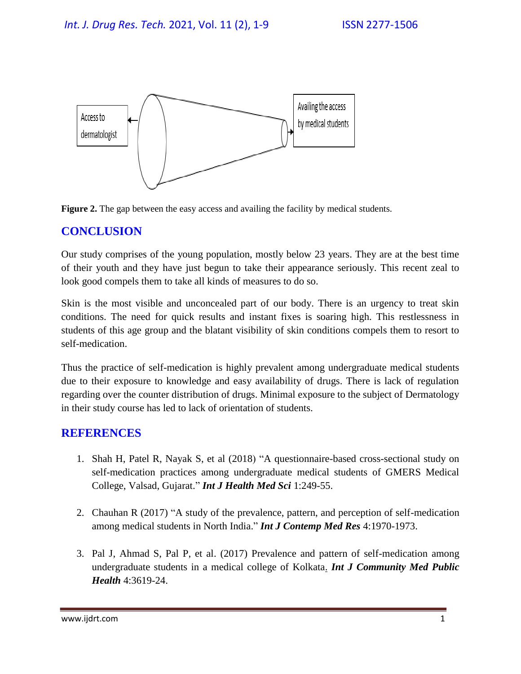



## **CONCLUSION**

Our study comprises of the young population, mostly below 23 years. They are at the best time of their youth and they have just begun to take their appearance seriously. This recent zeal to look good compels them to take all kinds of measures to do so.

Skin is the most visible and unconcealed part of our body. There is an urgency to treat skin conditions. The need for quick results and instant fixes is soaring high. This restlessness in students of this age group and the blatant visibility of skin conditions compels them to resort to self-medication.

Thus the practice of self-medication is highly prevalent among undergraduate medical students due to their exposure to knowledge and easy availability of drugs. There is lack of regulation regarding over the counter distribution of drugs. Minimal exposure to the subject of Dermatology in their study course has led to lack of orientation of students.

### **REFERENCES**

- 1. Shah H, Patel R, Nayak S, et al (2018) ["A questionnaire-based cross-sectional study on](https://www.ejmanager.com/mnstemps/67/67-1515650233.pdf?t=1652867366)  [self-medication practices among undergraduate medical students of GMERS Medical](https://www.ejmanager.com/mnstemps/67/67-1515650233.pdf?t=1652867366)  [College, Valsad, Gujarat.](https://www.ejmanager.com/mnstemps/67/67-1515650233.pdf?t=1652867366)" *Int J Health Med Sci* 1:249-55.
- 2. Chauhan R (2017) ["A study of the prevalence, pattern, and perception of self-medication](https://www.ijcmr.com/uploads/7/7/4/6/77464738/ijcmr_1682.pdf)  [among medical students in North India.](https://www.ijcmr.com/uploads/7/7/4/6/77464738/ijcmr_1682.pdf)" *Int J Contemp Med Res* 4:1970-1973.
- 3. Pal J, Ahmad S, Pal P, et al. (2017) [Prevalence and pattern of self-medication among](https://www.researchgate.net/profile/Shamshad-Ahmad/publication/320001979_Prevalence_and_pattern_of_self-medication_among_undergraduate_students_in_a_medical_college_of_Kolkata/links/5e0c7bb5a6fdcc28374d49db/Prevalence-and-pattern-of-self-medication-among-undergraduate-students-in-a-medical-college-of-Kolkata.pdf)  [undergraduate students in a medical college of Kolkata.](https://www.researchgate.net/profile/Shamshad-Ahmad/publication/320001979_Prevalence_and_pattern_of_self-medication_among_undergraduate_students_in_a_medical_college_of_Kolkata/links/5e0c7bb5a6fdcc28374d49db/Prevalence-and-pattern-of-self-medication-among-undergraduate-students-in-a-medical-college-of-Kolkata.pdf) *Int J Community Med Public Health* 4:3619-24.